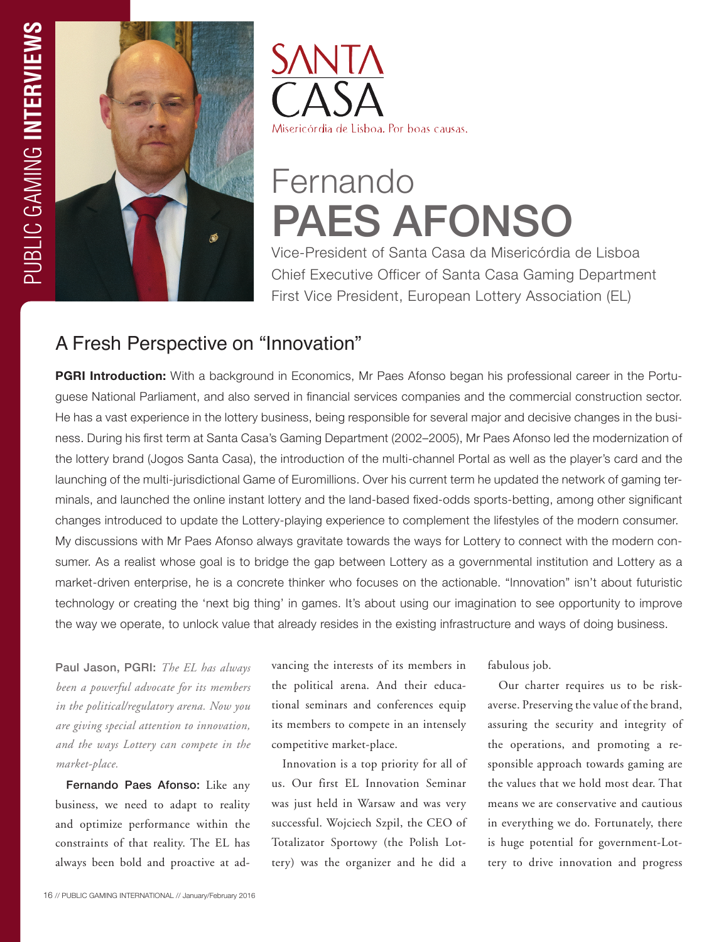



# Fernando PAES AFONSO

Vice-President of Santa Casa da Misericórdia de Lisboa Chief Executive Officer of Santa Casa Gaming Department First Vice President, European Lottery Association (EL)

# A Fresh Perspective on "Innovation"

**PGRI Introduction:** With a background in Economics, Mr Paes Afonso began his professional career in the Portuguese National Parliament, and also served in financial services companies and the commercial construction sector. He has a vast experience in the lottery business, being responsible for several major and decisive changes in the business. During his first term at Santa Casa's Gaming Department (2002–2005), Mr Paes Afonso led the modernization of the lottery brand (Jogos Santa Casa), the introduction of the multi-channel Portal as well as the player's card and the launching of the multi-jurisdictional Game of Euromillions. Over his current term he updated the network of gaming terminals, and launched the online instant lottery and the land-based fixed-odds sports-betting, among other significant changes introduced to update the Lottery-playing experience to complement the lifestyles of the modern consumer. My discussions with Mr Paes Afonso always gravitate towards the ways for Lottery to connect with the modern consumer. As a realist whose goal is to bridge the gap between Lottery as a governmental institution and Lottery as a market-driven enterprise, he is a concrete thinker who focuses on the actionable. "Innovation" isn't about futuristic technology or creating the 'next big thing' in games. It's about using our imagination to see opportunity to improve the way we operate, to unlock value that already resides in the existing infrastructure and ways of doing business.

Paul Jason, PGRI: *The EL has always been a powerful advocate for its members in the political/regulatory arena. Now you are giving special attention to innovation, and the ways Lottery can compete in the market-place.* 

Fernando Paes Afonso: Like any business, we need to adapt to reality and optimize performance within the constraints of that reality. The EL has always been bold and proactive at advancing the interests of its members in the political arena. And their educational seminars and conferences equip its members to compete in an intensely competitive market-place.

Innovation is a top priority for all of us. Our first EL Innovation Seminar was just held in Warsaw and was very successful. Wojciech Szpil, the CEO of Totalizator Sportowy (the Polish Lottery) was the organizer and he did a

fabulous job.

Our charter requires us to be riskaverse. Preserving the value of the brand, assuring the security and integrity of the operations, and promoting a responsible approach towards gaming are the values that we hold most dear. That means we are conservative and cautious in everything we do. Fortunately, there is huge potential for government-Lottery to drive innovation and progress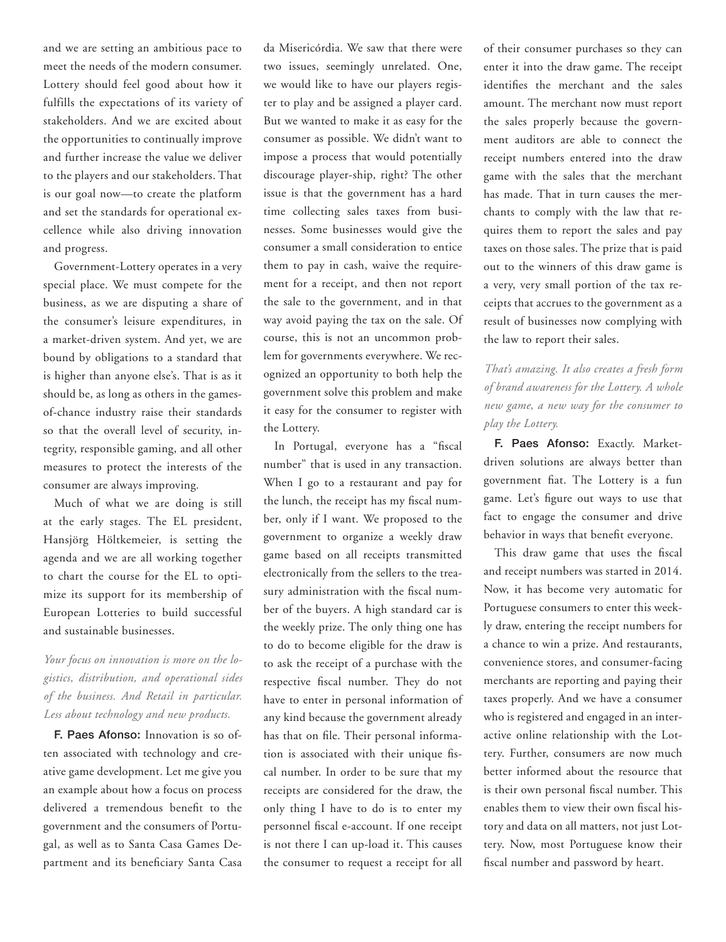and we are setting an ambitious pace to meet the needs of the modern consumer. Lottery should feel good about how it fulfills the expectations of its variety of stakeholders. And we are excited about the opportunities to continually improve and further increase the value we deliver to the players and our stakeholders. That is our goal now—to create the platform and set the standards for operational excellence while also driving innovation and progress.

Government-Lottery operates in a very special place. We must compete for the business, as we are disputing a share of the consumer's leisure expenditures, in a market-driven system. And yet, we are bound by obligations to a standard that is higher than anyone else's. That is as it should be, as long as others in the gamesof-chance industry raise their standards so that the overall level of security, integrity, responsible gaming, and all other measures to protect the interests of the consumer are always improving.

Much of what we are doing is still at the early stages. The EL president, Hansjörg Höltkemeier, is setting the agenda and we are all working together to chart the course for the EL to optimize its support for its membership of European Lotteries to build successful and sustainable businesses.

# *Your focus on innovation is more on the logistics, distribution, and operational sides of the business. And Retail in particular. Less about technology and new products.*

F. Paes Afonso: Innovation is so often associated with technology and creative game development. Let me give you an example about how a focus on process delivered a tremendous benefit to the government and the consumers of Portugal, as well as to Santa Casa Games Department and its beneficiary Santa Casa

da Misericórdia. We saw that there were two issues, seemingly unrelated. One, we would like to have our players register to play and be assigned a player card. But we wanted to make it as easy for the consumer as possible. We didn't want to impose a process that would potentially discourage player-ship, right? The other issue is that the government has a hard time collecting sales taxes from businesses. Some businesses would give the consumer a small consideration to entice them to pay in cash, waive the requirement for a receipt, and then not report the sale to the government, and in that way avoid paying the tax on the sale. Of course, this is not an uncommon problem for governments everywhere. We recognized an opportunity to both help the government solve this problem and make it easy for the consumer to register with the Lottery.

In Portugal, everyone has a "fiscal number" that is used in any transaction. When I go to a restaurant and pay for the lunch, the receipt has my fiscal number, only if I want. We proposed to the government to organize a weekly draw game based on all receipts transmitted electronically from the sellers to the treasury administration with the fiscal number of the buyers. A high standard car is the weekly prize. The only thing one has to do to become eligible for the draw is to ask the receipt of a purchase with the respective fiscal number. They do not have to enter in personal information of any kind because the government already has that on file. Their personal information is associated with their unique fiscal number. In order to be sure that my receipts are considered for the draw, the only thing I have to do is to enter my personnel fiscal e-account. If one receipt is not there I can up-load it. This causes the consumer to request a receipt for all of their consumer purchases so they can enter it into the draw game. The receipt identifies the merchant and the sales amount. The merchant now must report the sales properly because the government auditors are able to connect the receipt numbers entered into the draw game with the sales that the merchant has made. That in turn causes the merchants to comply with the law that requires them to report the sales and pay taxes on those sales. The prize that is paid out to the winners of this draw game is a very, very small portion of the tax receipts that accrues to the government as a result of businesses now complying with the law to report their sales.

# *That's amazing. It also creates a fresh form of brand awareness for the Lottery. A whole new game, a new way for the consumer to play the Lottery.*

F. Paes Afonso: Exactly. Marketdriven solutions are always better than government fiat. The Lottery is a fun game. Let's figure out ways to use that fact to engage the consumer and drive behavior in ways that benefit everyone.

This draw game that uses the fiscal and receipt numbers was started in 2014. Now, it has become very automatic for Portuguese consumers to enter this weekly draw, entering the receipt numbers for a chance to win a prize. And restaurants, convenience stores, and consumer-facing merchants are reporting and paying their taxes properly. And we have a consumer who is registered and engaged in an interactive online relationship with the Lottery. Further, consumers are now much better informed about the resource that is their own personal fiscal number. This enables them to view their own fiscal history and data on all matters, not just Lottery. Now, most Portuguese know their fiscal number and password by heart.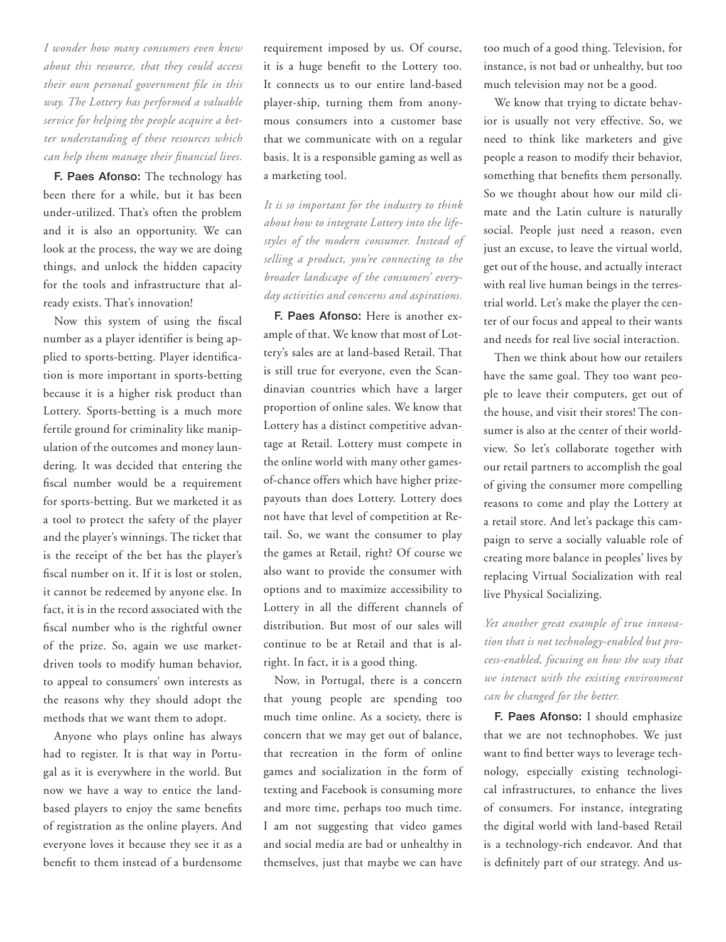*I wonder how many consumers even knew about this resource, that they could access their own personal government file in this way. The Lottery has performed a valuable service for helping the people acquire a better understanding of these resources which can help them manage their financial lives.* 

F. Paes Afonso: The technology has been there for a while, but it has been under-utilized. That's often the problem and it is also an opportunity. We can look at the process, the way we are doing things, and unlock the hidden capacity for the tools and infrastructure that already exists. That's innovation!

Now this system of using the fiscal number as a player identifier is being applied to sports-betting. Player identification is more important in sports-betting because it is a higher risk product than Lottery. Sports-betting is a much more fertile ground for criminality like manipulation of the outcomes and money laundering. It was decided that entering the fiscal number would be a requirement for sports-betting. But we marketed it as a tool to protect the safety of the player and the player's winnings. The ticket that is the receipt of the bet has the player's fiscal number on it. If it is lost or stolen, it cannot be redeemed by anyone else. In fact, it is in the record associated with the fiscal number who is the rightful owner of the prize. So, again we use marketdriven tools to modify human behavior, to appeal to consumers' own interests as the reasons why they should adopt the methods that we want them to adopt.

Anyone who plays online has always had to register. It is that way in Portugal as it is everywhere in the world. But now we have a way to entice the landbased players to enjoy the same benefits of registration as the online players. And everyone loves it because they see it as a benefit to them instead of a burdensome requirement imposed by us. Of course, it is a huge benefit to the Lottery too. It connects us to our entire land-based player-ship, turning them from anonymous consumers into a customer base that we communicate with on a regular basis. It is a responsible gaming as well as a marketing tool.

*It is so important for the industry to think about how to integrate Lottery into the lifestyles of the modern consumer. Instead of selling a product, you're connecting to the broader landscape of the consumers' everyday activities and concerns and aspirations.*

F. Paes Afonso: Here is another example of that. We know that most of Lottery's sales are at land-based Retail. That is still true for everyone, even the Scandinavian countries which have a larger proportion of online sales. We know that Lottery has a distinct competitive advantage at Retail. Lottery must compete in the online world with many other gamesof-chance offers which have higher prizepayouts than does Lottery. Lottery does not have that level of competition at Retail. So, we want the consumer to play the games at Retail, right? Of course we also want to provide the consumer with options and to maximize accessibility to Lottery in all the different channels of distribution. But most of our sales will continue to be at Retail and that is alright. In fact, it is a good thing.

Now, in Portugal, there is a concern that young people are spending too much time online. As a society, there is concern that we may get out of balance, that recreation in the form of online games and socialization in the form of texting and Facebook is consuming more and more time, perhaps too much time. I am not suggesting that video games and social media are bad or unhealthy in themselves, just that maybe we can have too much of a good thing. Television, for instance, is not bad or unhealthy, but too much television may not be a good.

We know that trying to dictate behavior is usually not very effective. So, we need to think like marketers and give people a reason to modify their behavior, something that benefits them personally. So we thought about how our mild climate and the Latin culture is naturally social. People just need a reason, even just an excuse, to leave the virtual world, get out of the house, and actually interact with real live human beings in the terrestrial world. Let's make the player the center of our focus and appeal to their wants and needs for real live social interaction.

Then we think about how our retailers have the same goal. They too want people to leave their computers, get out of the house, and visit their stores! The consumer is also at the center of their worldview. So let's collaborate together with our retail partners to accomplish the goal of giving the consumer more compelling reasons to come and play the Lottery at a retail store. And let's package this campaign to serve a socially valuable role of creating more balance in peoples' lives by replacing Virtual Socialization with real live Physical Socializing.

*Yet another great example of true innovation that is not technology-enabled but process-enabled, focusing on how the way that we interact with the existing environment can be changed for the better.*

F. Paes Afonso: I should emphasize that we are not technophobes. We just want to find better ways to leverage technology, especially existing technological infrastructures, to enhance the lives of consumers. For instance, integrating the digital world with land-based Retail is a technology-rich endeavor. And that is definitely part of our strategy. And us